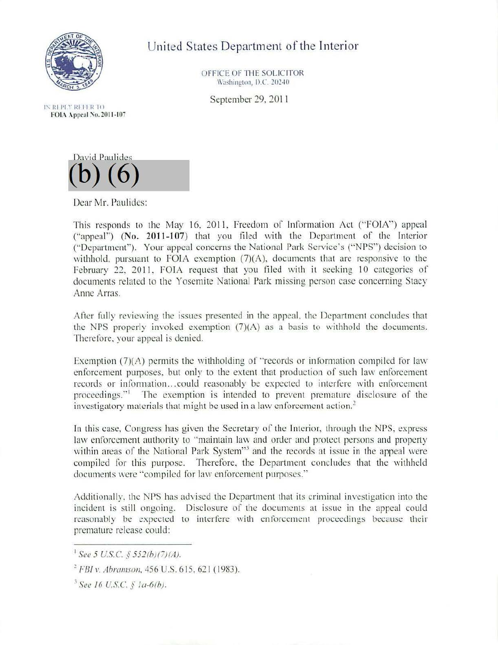

United States Department of the Interior

OFFICE OF THE SOLICITOR Washington, D.C. 20240

September 29, 2011

IN RI PLY REELR TO FOIA Appeal No. 2011-107



Dear Mr. Paulidcs:

This responds to the May 16, 2011, Freedom of Information Act (" $FOIA$ ") appeal ("appeal") (No. 2011-107) that you filed with the Department of the Interior ("Dcpatirnent"). Your appeal concerns the National Park Service's ("NPS") decision to withhold, pursuant to FOIA exemption (7)(A), documents that are responsive to the February 22, 2011, FOIA request that you filed with it seeking 10 categories of documents related to the Yosemite National Park missing person case concerning Stacy Anne Arras.

After fully reviewing the issues presented in the appeal, the Department concludes that the NPS properly invoked exemption (7)(A) as a basis to withhold the documents. Therefore. your appeal is denied.

Exemption  $(7)(A)$  permits the withholding of "records or information compiled for law enforcement purposes, but only to the extent that production of such law enforcement records or information...could reasonably be expected to interfere with enforcement proceedings."<sup>1</sup> The exemption is intended to prevent premature disclosure of the investigatory materials that might be used in a law enforcement action.<sup>2</sup>

In this case, Congress has given the Secretary of the Interior, through the NPS, express law enforcement authority to "maintain law and order and protect persons and property within areas of the National Park System"<sup>3</sup> and the records at issue in the appeal were compiled for this purpose. Therefore. the Department concludes that the withheld documents were "compiled for law enforcement purposes.''

Additionally, the NPS has advised the Department that its criminal investigation into the incident is still ongoing. Disclosure of the documents at issue in the appeal could reasonably be expected to interfere with enforcement proceedings because their premature release could:

 $1$  See 5 U.S.C. § 552(b)(7)(A).

<sup>&</sup>lt;sup>2</sup> FBI v. Abramson, 456 U.S. 615, 621 (1983).

<sup>1</sup>*See 16 U.S.C.* § *la-6(h).*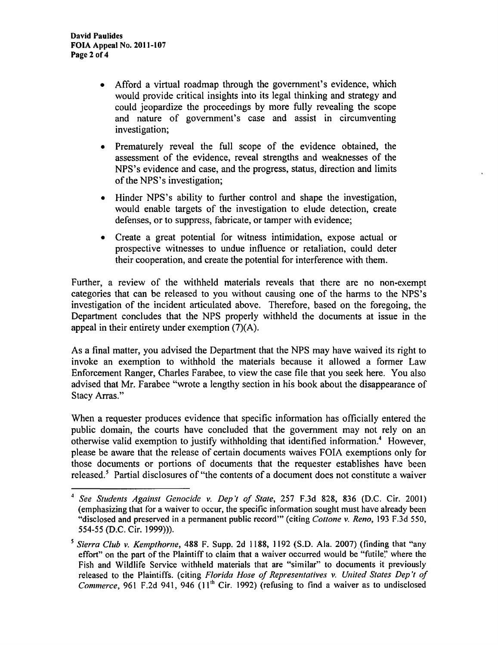- Afford a virtual roadmap through the government's evidence, which would provide critical insights into its legal thinking and strategy and could jeopardize the proceedings by more fully revealing the scope and nature of government's case and assist in circumventing investigation;
- Prematurely reveal the full scope of the evidence obtained, the assessment of the evidence, reveal strengths and weaknesses of the NPS's evidence and case, and the progress, status, direction and limits of the NPS's investigation;
- Hinder NPS's ability to further control and shape the investigation, would enable targets of the investigation to elude detection, create defenses, or to suppress, fabricate, or tamper with evidence;
- Create a great potential for witness intimidation, expose actual or prospective witnesses to undue influence or retaliation, could deter their cooperation, and create the potential for interference with them.

Further, a review of the withheld materials reveals that there are no non-exempt categories that can be released to you without causing one of the harms to the NPS's investigation of the incident articulated above. Therefore, based on the foregoing, the Department concludes that the NPS properly withheld the documents at issue in the appeal in their entirety under exemption (7)(A).

As a final matter, you advised the Department that the NPS may have waived its right to invoke an exemption to withhold the materials because it allowed a former Law Enforcement Ranger, Charles Farabee, to view the case file that you seek here. You also advised that Mr. Farabee "wrote a lengthy section in his book about the disappearance of Stacy Arras."

When a requester produces evidence that specific information has officially entered the public domain, the courts have concluded that the government may not rely on an otherwise valid exemption to justify withholding that identified information.<sup>4</sup> However, please be aware that the release of certain documents waives FOIA exemptions only for those documents or portions of documents that the requester establishes have been released.<sup>5</sup> Partial disclosures of "the contents of a document does not constitute a waiver

<sup>4</sup>*See S1udents Againsl Genocide v. Dep'I of Slate,* 257 F.3d 828, 836 (D.C. Cir. 2001) (emphasizing that for a waiver to occur, the specific information sought must have already been "disclosed and preserved in a permanent public record"' (citing *Cottone v. Reno,* 193 F.3d 550, 554-55 (D.C. Cir. 1999))).

*<sup>5</sup> Sierra Club v. Kempthorne,* 488 F. Supp. 2d 1188, 1192 (S.D. Ala. 2007) (finding that "any effort" on the part of the Plaintiff to claim that a waiver occurred would be "futile'.' where the Fish and Wildlife Service withheld materials that are "similar" to documents it previously released to the Plaintiffs. (citing *Florida Hose of Representatives v. United States Dep 't of*  Commerce, 961 F.2d 941, 946 (11<sup>th</sup> Cir. 1992) (refusing to find a waiver as to undisclosed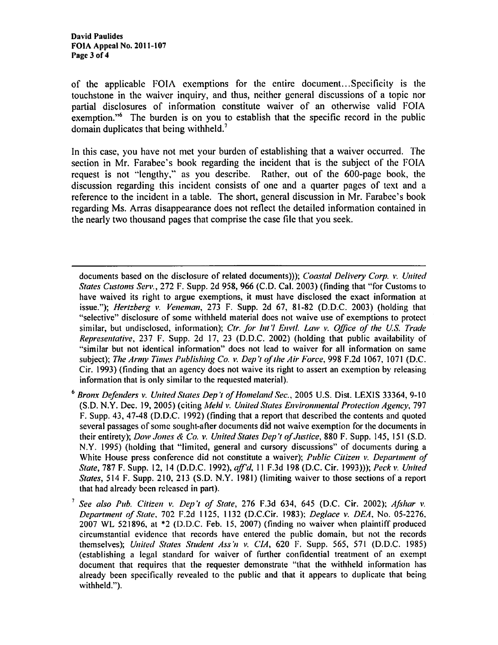of the applicable  $F O I \Lambda$  exemptions for the entire document... Specificity is the touchstone in the waiver inquiry, and thus, neither general discussions of a topic nor partial disclosures of information constitute waiver of an otherwise valid FOIA exemption."6 The burden is on you to establish that the specific record in the public domain duplicates that being withheld.<sup>7</sup>

In this case, you have not met your burden of establishing that a waiver occurred. The section in Mr. Farabee's book regarding the incident that is the subject of the FOIA request is not "lengthy," as you describe. Rather, out of the 600-page book, the discussion regarding this incident consists of one and a quarter pages of text and a reference to the incident in a table. The short, general discussion in Mr. Farabee's book regarding Ms. Arras disappearance does not reflect the detailed information contained in the nearly two thousand pages that comprise the case file that you seek.

documents based on the disclosure of related documents))); *Coastal Delivery Corp. v. United States Customs Serv.,* 272 F. Supp. 2d 958, 966 (C.D. Cal. 2003) (finding that "for Customs to have waived its right to argue exemptions, it must have disclosed the exact information at issue."); *Hertzberg v. Veneman,* 273 F. Supp. 2d 67, 81-82 (D.D.C. 2003) (holding that "selective" disclosure of some withheld material docs not waive use of exemptions to protect similar, but undisclosed, information); *Ctr. for Int'l Envtl. Law v. Office of the U.S. Trade Representative,* 237 F. Supp. 2d 17, 23 (D.D.C. 2002) (holding that public availability of "similar but not identical information" does not lead to waiver for all information on same subject); *The Army Times Publishing Co. v. Dep 't of the Air Force,* 998 F.2d 1067, 1071 (D.C. Cir. 1993) (finding that an agency does not waive its right to assert an exemption by releasing information that is only similar to the requested material).

<sup>6</sup>*Bronx Defenders v. United States Dep 't of Homeland Sec.,* 2005 U.S. Dist. LEXIS 33364, 9-10 (S.D. N.Y. Dec. 19, 2005) (citing *Mehl v. United States Environmental Protection Agency,* 797 F. Supp. 43, 47-48 (D.D.C. 1992) (finding that a report that described the contents and quoted several passages of some sought-after documents did not waive exemption for the documents in their entirety); *Dow .Jones* & *Co. v. United States Dep 't of.Justice,* 880 F. Supp. 145, 151 (S.D. N.Y. 1995) (holding that "limited, general and cursory discussions" of documents during a White House press conference did not constitute a waiver); *Public Citizen v. Department of State,* 787 F. Supp. 12, 14 (D.D.C. 1992), *aff'd,* 11F.3d198 (D.C. Cir. 1993))); *Peck v. United States,* 514 F. Supp. 210, 213 (S.D. N.Y. 1981) (limiting waiver to those sections of a report that had already been released in part).

<sup>7</sup>*See also Pub. Citizen v. Dep 't of State,* 276 F.3d 634, 645 (D.C. Cir. 2002); *Afshar v. Department of State,* 702 F.2d 1125, 1132 (D.C.Cir. 1983); *Deg/ace v. DEA,* No. 05-2276, 2007 WL 521896, at \*2 (D.D.C. Feb. 15, 2007) (finding no waiver when plaintiff produced circumstantial evidence that records have entered the public domain, but not the records themselves); *United States Student Ass '11 v. CIA,* 620 F. Supp. 565, 571 (D.D.C. 1985) (establishing a legal standard for waiver of further confidential treatment of an exempt document that requires that the requester demonstrate "that the withheld information has already been specifically revealed to the public and that it appears to duplicate that being withheld.").